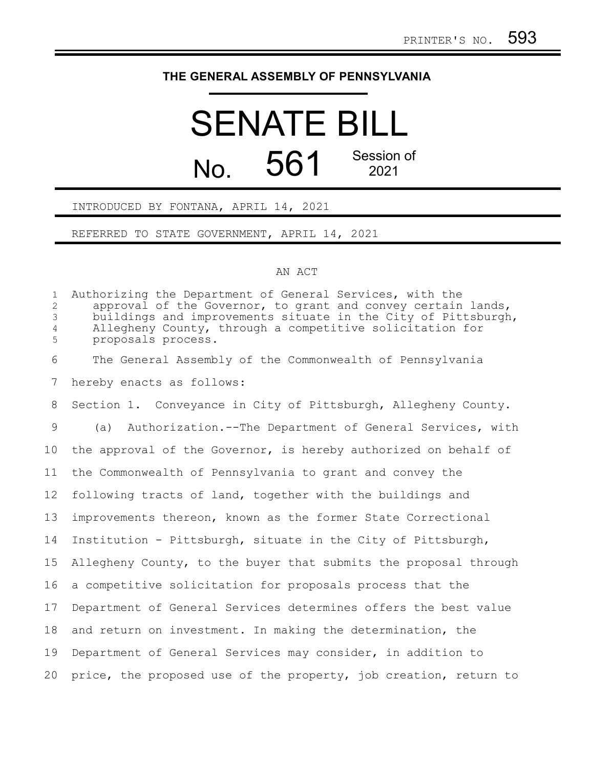## **THE GENERAL ASSEMBLY OF PENNSYLVANIA**

# SENATE BILL  $N<sub>0</sub>$  561 Session of 2021

### INTRODUCED BY FONTANA, APRIL 14, 2021

REFERRED TO STATE GOVERNMENT, APRIL 14, 2021

#### AN ACT

Authorizing the Department of General Services, with the approval of the Governor, to grant and convey certain lands, buildings and improvements situate in the City of Pittsburgh, Allegheny County, through a competitive solicitation for proposals process. The General Assembly of the Commonwealth of Pennsylvania hereby enacts as follows: Section 1. Conveyance in City of Pittsburgh, Allegheny County. (a) Authorization.--The Department of General Services, with the approval of the Governor, is hereby authorized on behalf of the Commonwealth of Pennsylvania to grant and convey the following tracts of land, together with the buildings and improvements thereon, known as the former State Correctional Institution - Pittsburgh, situate in the City of Pittsburgh, Allegheny County, to the buyer that submits the proposal through a competitive solicitation for proposals process that the Department of General Services determines offers the best value and return on investment. In making the determination, the Department of General Services may consider, in addition to price, the proposed use of the property, job creation, return to 1 2 3 4 5 6 7 8 9 10 11 12 13 14 15 16 17 18 19 20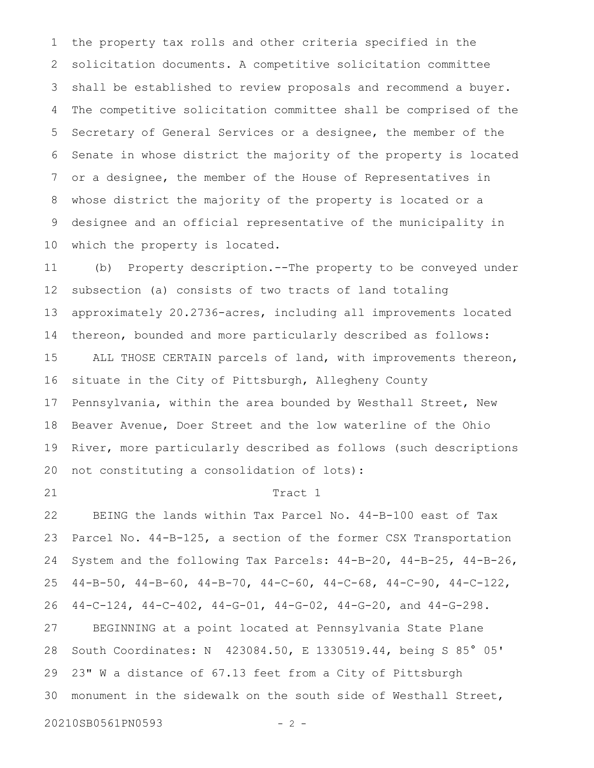the property tax rolls and other criteria specified in the solicitation documents. A competitive solicitation committee shall be established to review proposals and recommend a buyer. The competitive solicitation committee shall be comprised of the Secretary of General Services or a designee, the member of the Senate in whose district the majority of the property is located or a designee, the member of the House of Representatives in whose district the majority of the property is located or a designee and an official representative of the municipality in which the property is located. 1 2 3 4 5 6 7 8 9 10

(b) Property description.--The property to be conveyed under subsection (a) consists of two tracts of land totaling approximately 20.2736-acres, including all improvements located thereon, bounded and more particularly described as follows: ALL THOSE CERTAIN parcels of land, with improvements thereon, situate in the City of Pittsburgh, Allegheny County Pennsylvania, within the area bounded by Westhall Street, New Beaver Avenue, Doer Street and the low waterline of the Ohio River, more particularly described as follows (such descriptions not constituting a consolidation of lots): 11 12 13 14 15 16 17 18 19 20

21

#### Tract 1

BEING the lands within Tax Parcel No. 44-B-100 east of Tax Parcel No. 44-B-125, a section of the former CSX Transportation System and the following Tax Parcels: 44-B-20, 44-B-25, 44-B-26, 44-B-50, 44-B-60, 44-B-70, 44-C-60, 44-C-68, 44-C-90, 44-C-122, 44-C-124, 44-C-402, 44-G-01, 44-G-02, 44-G-20, and 44-G-298. BEGINNING at a point located at Pennsylvania State Plane South Coordinates: N 423084.50, E 1330519.44, being S 85° 05' 23" W a distance of 67.13 feet from a City of Pittsburgh monument in the sidewalk on the south side of Westhall Street, 22 23 24 25 26 27 28 29 30

20210SB0561PN0593 - 2 -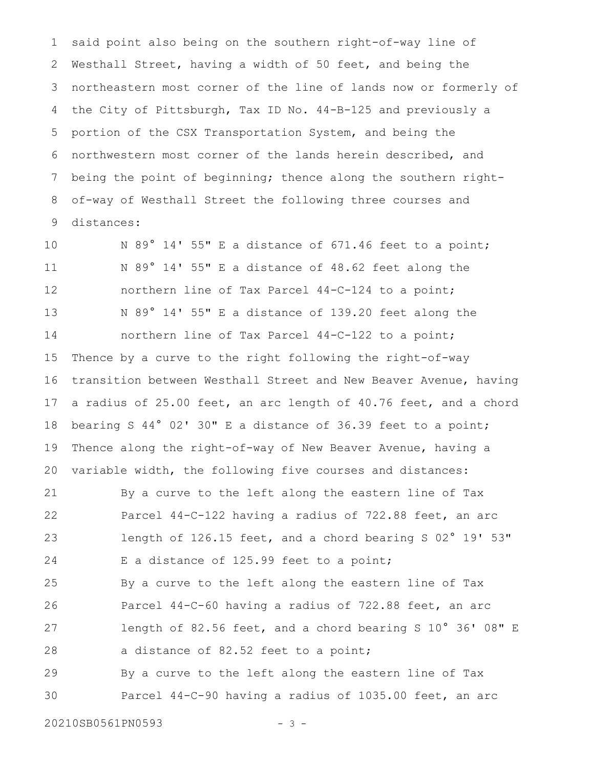said point also being on the southern right-of-way line of Westhall Street, having a width of 50 feet, and being the northeastern most corner of the line of lands now or formerly of the City of Pittsburgh, Tax ID No. 44-B-125 and previously a portion of the CSX Transportation System, and being the northwestern most corner of the lands herein described, and being the point of beginning; thence along the southern rightof-way of Westhall Street the following three courses and distances: 1 2 3 4 5 6 7 8 9

N 89° 14' 55" E a distance of 671.46 feet to a point; N 89° 14' 55" E a distance of 48.62 feet along the northern line of Tax Parcel 44-C-124 to a point; N 89° 14' 55" E a distance of 139.20 feet along the northern line of Tax Parcel 44-C-122 to a point; Thence by a curve to the right following the right-of-way transition between Westhall Street and New Beaver Avenue, having a radius of 25.00 feet, an arc length of 40.76 feet, and a chord bearing S 44° 02' 30" E a distance of 36.39 feet to a point; Thence along the right-of-way of New Beaver Avenue, having a variable width, the following five courses and distances: 10 11 12 13 14 15 16 17 18 19 20

By a curve to the left along the eastern line of Tax Parcel 44-C-122 having a radius of 722.88 feet, an arc length of 126.15 feet, and a chord bearing S 02° 19' 53" E a distance of 125.99 feet to a point; By a curve to the left along the eastern line of Tax Parcel 44-C-60 having a radius of 722.88 feet, an arc length of 82.56 feet, and a chord bearing S 10° 36' 08" E a distance of 82.52 feet to a point; By a curve to the left along the eastern line of Tax Parcel 44-C-90 having a radius of 1035.00 feet, an arc 21 22 23 24 25 26 27 28 29 30

20210SB0561PN0593 - 3 -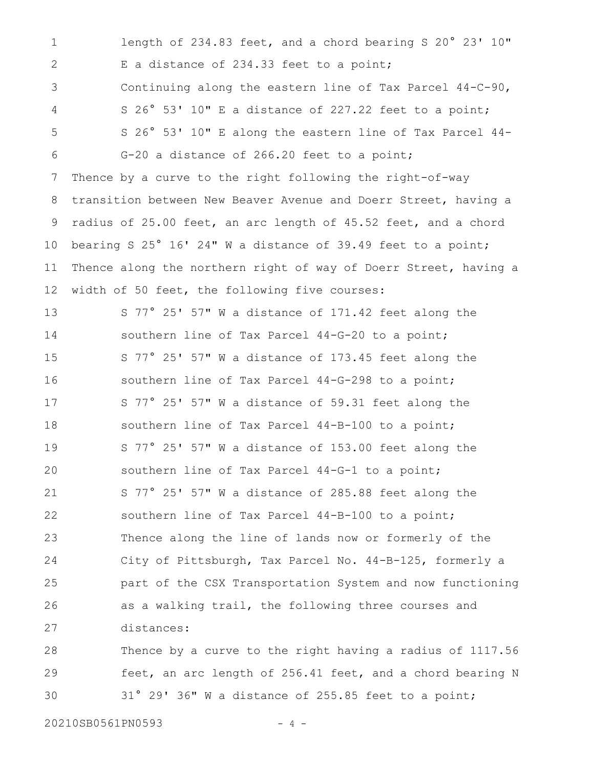length of 234.83 feet, and a chord bearing S 20° 23' 10" E a distance of 234.33 feet to a point; Continuing along the eastern line of Tax Parcel 44-C-90, S 26° 53' 10" E a distance of 227.22 feet to a point; S 26° 53' 10" E along the eastern line of Tax Parcel 44- G-20 a distance of 266.20 feet to a point; Thence by a curve to the right following the right-of-way transition between New Beaver Avenue and Doerr Street, having a radius of 25.00 feet, an arc length of 45.52 feet, and a chord bearing S 25° 16' 24" W a distance of 39.49 feet to a point; Thence along the northern right of way of Doerr Street, having a width of 50 feet, the following five courses: S 77° 25' 57" W a distance of 171.42 feet along the southern line of Tax Parcel 44-G-20 to a point; S 77° 25' 57" W a distance of 173.45 feet along the southern line of Tax Parcel 44-G-298 to a point; S 77° 25' 57" W a distance of 59.31 feet along the southern line of Tax Parcel 44-B-100 to a point; S 77° 25' 57" W a distance of 153.00 feet along the southern line of Tax Parcel 44-G-1 to a point; S 77° 25' 57" W a distance of 285.88 feet along the southern line of Tax Parcel 44-B-100 to a point; Thence along the line of lands now or formerly of the City of Pittsburgh, Tax Parcel No. 44-B-125, formerly a part of the CSX Transportation System and now functioning as a walking trail, the following three courses and distances: Thence by a curve to the right having a radius of 1117.56 feet, an arc length of 256.41 feet, and a chord bearing N 31° 29' 36" W a distance of 255.85 feet to a point; 1 2 3 4 5 6 7 8 9 10 11 12 13 14 15 16 17 18 19 20 21 22 23 24 25 26 27 28 29 30

20210SB0561PN0593 - 4 -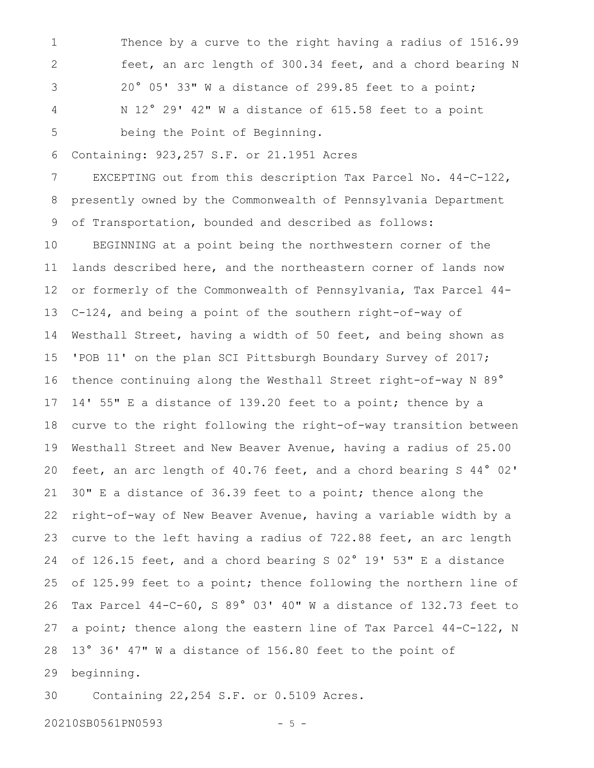Thence by a curve to the right having a radius of 1516.99 feet, an arc length of 300.34 feet, and a chord bearing N 20° 05' 33" W a distance of 299.85 feet to a point; N 12° 29' 42" W a distance of 615.58 feet to a point being the Point of Beginning. 1 2 3 4 5

Containing: 923,257 S.F. or 21.1951 Acres 6

EXCEPTING out from this description Tax Parcel No. 44-C-122, presently owned by the Commonwealth of Pennsylvania Department of Transportation, bounded and described as follows: 7 8 9

BEGINNING at a point being the northwestern corner of the lands described here, and the northeastern corner of lands now or formerly of the Commonwealth of Pennsylvania, Tax Parcel 44- C-124, and being a point of the southern right-of-way of Westhall Street, having a width of 50 feet, and being shown as 'POB 11' on the plan SCI Pittsburgh Boundary Survey of 2017; thence continuing along the Westhall Street right-of-way N 89° 14' 55" E a distance of 139.20 feet to a point; thence by a curve to the right following the right-of-way transition between Westhall Street and New Beaver Avenue, having a radius of 25.00 feet, an arc length of 40.76 feet, and a chord bearing S 44° 02' 30" E a distance of 36.39 feet to a point; thence along the right-of-way of New Beaver Avenue, having a variable width by a curve to the left having a radius of 722.88 feet, an arc length of 126.15 feet, and a chord bearing S 02° 19' 53" E a distance of 125.99 feet to a point; thence following the northern line of Tax Parcel 44-C-60, S 89° 03' 40" W a distance of 132.73 feet to a point; thence along the eastern line of Tax Parcel 44-C-122, N 13° 36' 47" W a distance of 156.80 feet to the point of beginning. 10 11 12 13 14 15 16 17 18 19 20 21 22 23 24 25 26 27 28 29

Containing 22,254 S.F. or 0.5109 Acres. 30

20210SB0561PN0593 - 5 -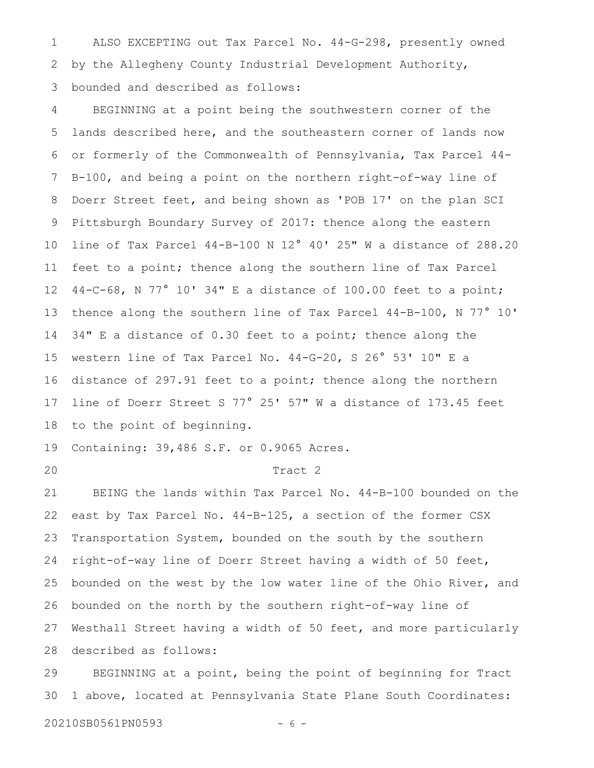ALSO EXCEPTING out Tax Parcel No. 44-G-298, presently owned by the Allegheny County Industrial Development Authority, bounded and described as follows: 1 2 3

BEGINNING at a point being the southwestern corner of the lands described here, and the southeastern corner of lands now or formerly of the Commonwealth of Pennsylvania, Tax Parcel 44- B-100, and being a point on the northern right-of-way line of Doerr Street feet, and being shown as 'POB 17' on the plan SCI Pittsburgh Boundary Survey of 2017: thence along the eastern line of Tax Parcel 44-B-100 N 12° 40' 25" W a distance of 288.20 feet to a point; thence along the southern line of Tax Parcel 44-C-68, N 77° 10' 34" E a distance of 100.00 feet to a point; thence along the southern line of Tax Parcel 44-B-100, N 77° 10' 34" E a distance of 0.30 feet to a point; thence along the western line of Tax Parcel No. 44-G-20, S 26° 53' 10" E a distance of 297.91 feet to a point; thence along the northern line of Doerr Street S 77° 25' 57" W a distance of 173.45 feet to the point of beginning. 4 5 6 7 8 9 10 11 12 13 14 15 16 17 18

Containing: 39,486 S.F. or 0.9065 Acres. 19

20

#### Tract 2

BEING the lands within Tax Parcel No. 44-B-100 bounded on the east by Tax Parcel No. 44-B-125, a section of the former CSX Transportation System, bounded on the south by the southern right-of-way line of Doerr Street having a width of 50 feet, bounded on the west by the low water line of the Ohio River, and bounded on the north by the southern right-of-way line of Westhall Street having a width of 50 feet, and more particularly described as follows: 21 22 23 24 25 26 27 28

BEGINNING at a point, being the point of beginning for Tract 1 above, located at Pennsylvania State Plane South Coordinates: 29 30

20210SB0561PN0593 - 6 -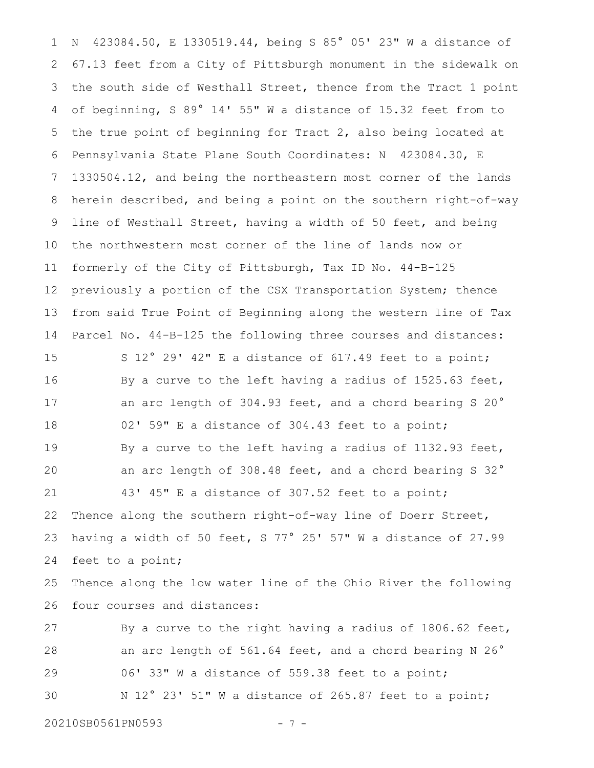N 423084.50, E 1330519.44, being S 85° 05' 23" W a distance of 67.13 feet from a City of Pittsburgh monument in the sidewalk on the south side of Westhall Street, thence from the Tract 1 point of beginning, S 89° 14' 55" W a distance of 15.32 feet from to the true point of beginning for Tract 2, also being located at Pennsylvania State Plane South Coordinates: N 423084.30, E 1330504.12, and being the northeastern most corner of the lands herein described, and being a point on the southern right-of-way line of Westhall Street, having a width of 50 feet, and being the northwestern most corner of the line of lands now or formerly of the City of Pittsburgh, Tax ID No. 44-B-125 previously a portion of the CSX Transportation System; thence from said True Point of Beginning along the western line of Tax Parcel No. 44-B-125 the following three courses and distances: S 12° 29' 42" E a distance of 617.49 feet to a point; 1 2 3 4 5 6 7 8 9 10 11 12 13 14 15

By a curve to the left having a radius of 1525.63 feet, an arc length of 304.93 feet, and a chord bearing S 20° 02' 59" E a distance of 304.43 feet to a point; By a curve to the left having a radius of 1132.93 feet, an arc length of 308.48 feet, and a chord bearing S 32° 43' 45" E a distance of 307.52 feet to a point; Thence along the southern right-of-way line of Doerr Street, having a width of 50 feet, S 77° 25' 57" W a distance of 27.99 feet to a point; 16 17 18 19 20 21 22 23 24

Thence along the low water line of the Ohio River the following four courses and distances: 25 26

By a curve to the right having a radius of 1806.62 feet, an arc length of 561.64 feet, and a chord bearing N 26° 06' 33" W a distance of 559.38 feet to a point; N 12° 23' 51" W a distance of 265.87 feet to a point; 27 28 29 30

20210SB0561PN0593 - 7 -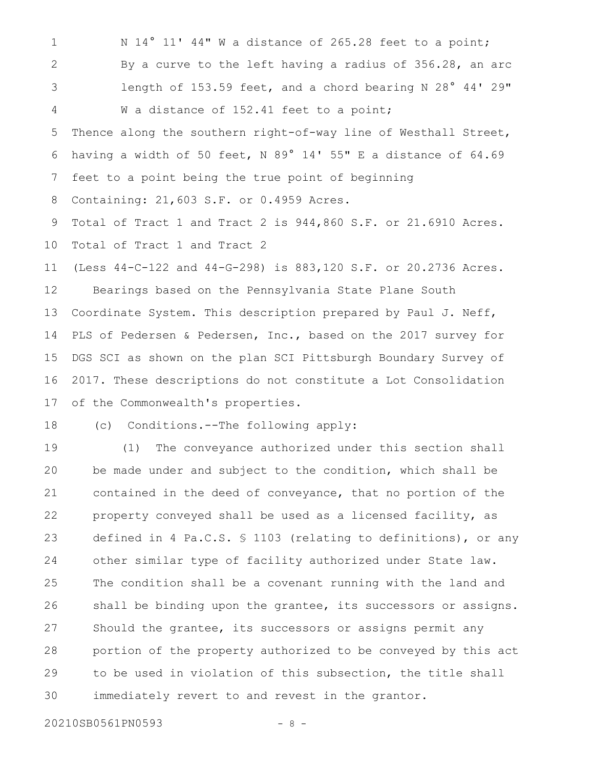N 14° 11' 44" W a distance of 265.28 feet to a point; By a curve to the left having a radius of 356.28, an arc length of 153.59 feet, and a chord bearing N 28° 44' 29" W a distance of 152.41 feet to a point; Thence along the southern right-of-way line of Westhall Street, having a width of 50 feet, N 89° 14' 55" E a distance of 64.69 feet to a point being the true point of beginning Containing: 21,603 S.F. or 0.4959 Acres. Total of Tract 1 and Tract 2 is 944,860 S.F. or 21.6910 Acres. Total of Tract 1 and Tract 2 (Less 44-C-122 and 44-G-298) is 883,120 S.F. or 20.2736 Acres. Bearings based on the Pennsylvania State Plane South Coordinate System. This description prepared by Paul J. Neff, PLS of Pedersen & Pedersen, Inc., based on the 2017 survey for DGS SCI as shown on the plan SCI Pittsburgh Boundary Survey of 2017. These descriptions do not constitute a Lot Consolidation of the Commonwealth's properties. 1 2 3 4 5 6 7 8 9 10 11 12 13 14 15 16 17

(c) Conditions.--The following apply: 18

(1) The conveyance authorized under this section shall be made under and subject to the condition, which shall be contained in the deed of conveyance, that no portion of the property conveyed shall be used as a licensed facility, as defined in 4 Pa.C.S. § 1103 (relating to definitions), or any other similar type of facility authorized under State law. The condition shall be a covenant running with the land and shall be binding upon the grantee, its successors or assigns. Should the grantee, its successors or assigns permit any portion of the property authorized to be conveyed by this act to be used in violation of this subsection, the title shall immediately revert to and revest in the grantor. 19 20 21 22 23 24 25 26 27 28 29 30

20210SB0561PN0593 - 8 -